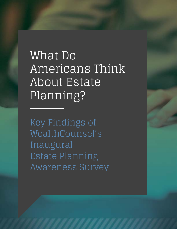What Do Americans Think About Estate Planning?

Key Findings of WealthCounsel's Inaugural Estate Planning Awareness Survey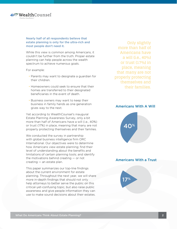

#### Nearly half of all respondents believe that estate planning is only for the ultra-rich and most people don't need it.

While this view is common among Americans, it couldn't be further from the truth. Proper estate planning can help people across the wealth spectrum to achieve numerous goals.

For example:

- Parents may want to designate a guardian for their children.
- Homeowners could seek to ensure that their homes are transferred to their designated beneficiaries in the event of death.
- Business owners may want to keep their business in family hands as one generation gives way to the next.

Yet according to WealthCounsel's inaugural Estate Planning Awareness Survey, only a bit more than half of Americans have a will (i.e., 40%) or trust (17%) in place, meaning that many are not properly protecting themselves and their families.

We conducted the survey in partnership with global business intelligence firm ORC International. Our objectives were to determine how Americans view estate planning; find their level of understanding about the benefits and limitations of certain planning tools; and identify the motivations behind creating — or not creating — an estate plan.

This paper summarizes our top-line findings about the current environment for estate planning. Throughout the next year, we will share more in-depth findings that should not only help attorneys to better serve the public on this critical-yet-confusing topic, but also raise public awareness and give people information they can use to make sound decisions about their estates.

Only slightly more than half of Americans have a will (i.e.,  $40\%$ ) or trust (17%) in place, meaning that many are not properly protecting themselves and their families.

#### Americans With A Will



# Americans With a Trust

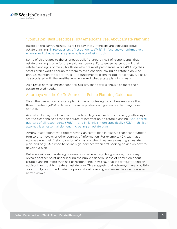

#### "Confusion" Best Describes How Americans Feel About Estate Planning

Based on the survey results, it's fair to say that Americans are confused about estate planning: Three-quarters of respondents (74%), in fact, answer affrmatively when asked whether estate planning is a confusing topic.

Some of this relates to the erroneous belief, shared by half of respondents, that estate planning is only for the wealthiest people. Forty-seven percent think that estate planning is primarily for those who are most prosperous, while 49% say their assets aren't worth enough for them to even consider having an estate plan. And only 3% mention the word "trust" — a fundamental planning tool for all that, typically, is associated with the wealthy  $-$  when asked what estate planning means.

As a result of these misconceptions, 61% say that a will is enough to meet their estate-related needs.

### Attorneys Are the Go-To Source for Estate Planning Guidance

Given the perception of estate planning as a confusing topic, it makes sense that three-quarters (74%) of Americans value professional guidance in learning more about it.

And who do they think can best provide such guidance? Not surprisingly, attorneys are the clear choice as the top source of information on estate planning. About threequarters of all respondents (76%) — and Millennials more specifcally (73%) — think an attorney is an essential element in creating an estate plan.

Among respondents who report having an estate plan in place, a signifcant number turn to attorneys over other sources of information. For example, 42% say that an attorney was their frst choice for information when they were creating an estate plan, and only 8% turned to online legal services when frst seeking advice on how to develop a plan.

But even with such a strong consensus on where to go for guidance, the survey reveals another point underscoring the public's general sense of confusion about estate planning: more than half of respondents (53%) say that it's difficult to find an advisor they trust to create an estate plan. This suggests that attorneys have a built-in opportunity both to educate the public about planning and make their own services better known.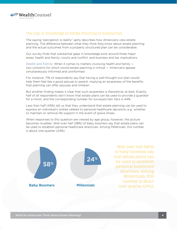

# The Gap in Knowledge of Estate Planning is Substantial

The saying "perception is reality" aptly describes how Americans view estate planning. The difference between what they think they know about estate planning and the actual outcomes from a properly structured plan can be considerable.

Our survey fnds that substantial gaps in knowledge exist around three major areas: health and family; courts and confict; and business and tax implications.

Health and Family. When it comes to matters involving health and family two concerns for which sound estate planning is critical — Americans appear simultaneously informed and uninformed.

For instance, 71% of respondents say that having a well-thought-out plan would help them feel like a good spouse or parent, implying an awareness of the benefts that planning can offer spouses and children.

But another fnding makes it clear that such awareness is theoretical, at best. Exactly half of all respondents don't know that estate plans can be used to provide a guardian for a minor, and the corresponding number for surveyed Gen Xers is 44%.

Less than half (45%) tell us that they understand that estate planning can be used to express an individual's wishes related to personal healthcare decisions, e.g., whether to maintain or remove life support in the event of grave illness.

When responses to this question are viewed by age group, however, the picture becomes muddier. Well over half (58%) of baby boomers say that estate plans can be used to establish personal healthcare directives. Among Millennials, this number is about one-quarter (24%).



Well over half (58%) of baby boomers say that estate plans can be used to establish personal healthcare directives. Among Millennials, this number is about one-quarter (24%).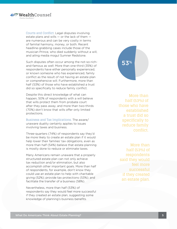

Courts and Confict. Legal disputes involving estate plans and wills  $-$  or the lack of them  $$ are numerous and can be very costly in terms of familial harmony, money, or both. Recent headline-grabbing cases include those of the musician Prince, who died suddenly without a will, and ailing media mogul Sumner Redstone.

Such disputes often occur among the not-so-richand-famous as well: More than one-third (35%) of respondents have either personally experienced, or known someone who has experienced, family confict as the result of not having an estate plan or comprehensive will. Furthermore, more than half (53%) of those who have established a trust did so specifically to reduce family conflict.

Despite this direct knowledge of what can happen, 50% of respondents with a will believe that wills protect them from probate court after they pass away, and more than two-thirds (70%) don't know that wills offer only limited protections.

Business and Tax Implications. The aware/ unaware duality certainly applies to issues involving taxes and business.

Three-quarters (74%) of respondents say they'd be more likely to create an estate plan if it would help lower their families' tax obligations, even as more than half (54%) believe that estate planning is mostly done to reduce or eliminate taxes.

Many Americans remain unaware that a properly structured estate plan can not only achieve tax reduction and/or elimination, but also accomplish other important goals. More than half of respondents, for example, don't know they could use an estate plan to help with charitable giving (52%); provide tax protections (53%); and facilitate the transfer of a business (58%).

Nevertheless, more than half (53%) of respondents say they would feel more successful if they created an estate plan, suggesting some knowledge of planning's business benefits.



More than half (53%) of those who have established a trust did so specifically to reduce family confict.

More than half (53%) of respondents said they would feel more successful if they created an estate plan.